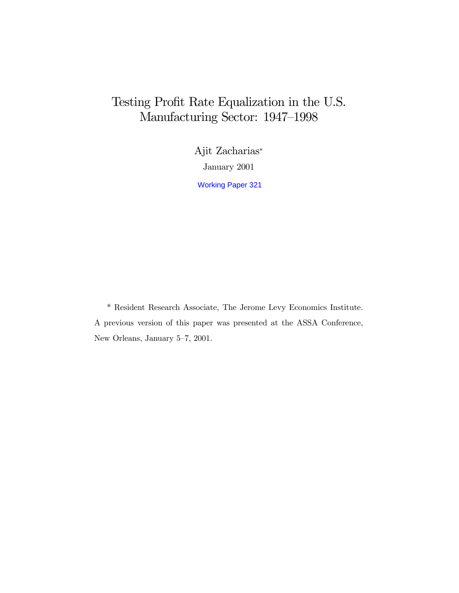# Testing Profit Rate Equalization in the U.S. Manufacturing Sector: 1947–1998

Ajit Zacharias\* January 2001 Working Paper 321

\* Resident Research Associate, The Jerome Levy Economics Institute. A previous version of this paper was presented at the ASSA Conference, New Orleans, January 5–7, 2001.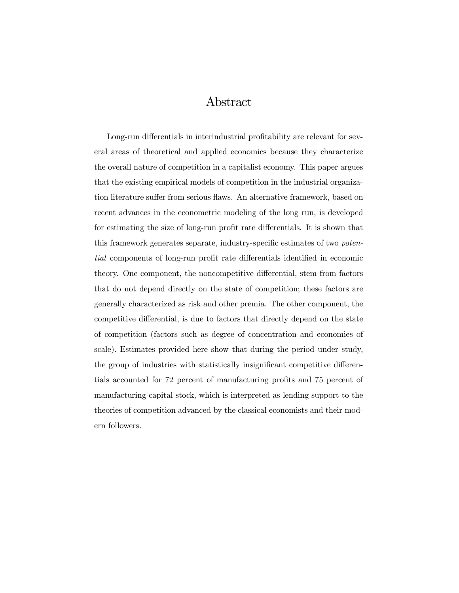## Abstract

Long-run differentials in interindustrial profitability are relevant for several areas of theoretical and applied economics because they characterize the overall nature of competition in a capitalist economy. This paper argues that the existing empirical models of competition in the industrial organization literature suffer from serious flaws. An alternative framework, based on recent advances in the econometric modeling of the long run, is developed for estimating the size of long-run profit rate differentials. It is shown that this framework generates separate, industry-specific estimates of two *poten*tial components of long-run profit rate differentials identified in economic theory. One component, the noncompetitive differential, stem from factors that do not depend directly on the state of competition; these factors are generally characterized as risk and other premia. The other component, the competitive differential, is due to factors that directly depend on the state of competition (factors such as degree of concentration and economies of scale). Estimates provided here show that during the period under study, the group of industries with statistically insignificant competitive differentials accounted for 72 percent of manufacturing profits and 75 percent of manufacturing capital stock, which is interpreted as lending support to the theories of competition advanced by the classical economists and their modern followers.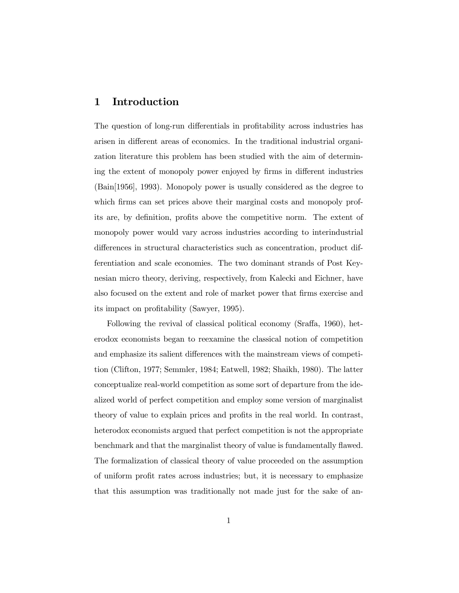## 1 Introduction

The question of long-run differentials in profitability across industries has arisen in different areas of economics. In the traditional industrial organization literature this problem has been studied with the aim of determining the extent of monopoly power enjoyed by firms in different industries (Bain[1956], 1993). Monopoly power is usually considered as the degree to which firms can set prices above their marginal costs and monopoly profits are, by definition, profits above the competitive norm. The extent of monopoly power would vary across industries according to interindustrial differences in structural characteristics such as concentration, product differentiation and scale economies. The two dominant strands of Post Keynesian micro theory, deriving, respectively, from Kalecki and Eichner, have also focused on the extent and role of market power that firms exercise and its impact on profitability (Sawyer, 1995).

Following the revival of classical political economy (Sraffa, 1960), heterodox economists began to reexamine the classical notion of competition and emphasize its salient differences with the mainstream views of competition (Clifton, 1977; Semmler, 1984; Eatwell, 1982; Shaikh, 1980). The latter conceptualize real-world competition as some sort of departure from the idealized world of perfect competition and employ some version of marginalist theory of value to explain prices and profits in the real world. In contrast, heterodox economists argued that perfect competition is not the appropriate benchmark and that the marginalist theory of value is fundamentally flawed. The formalization of classical theory of value proceeded on the assumption of uniform profit rates across industries; but, it is necessary to emphasize that this assumption was traditionally not made just for the sake of an-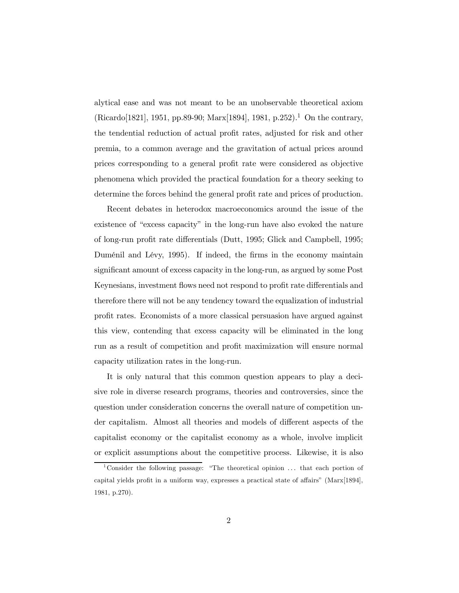alytical ease and was not meant to be an unobservable theoretical axiom (Ricardo[1821], 1951, pp.89-90; Marx[1894], 1981, p.252). <sup>1</sup> On the contrary, the tendential reduction of actual profit rates, adjusted for risk and other premia, to a common average and the gravitation of actual prices around prices corresponding to a general profit rate were considered as objective phenomena which provided the practical foundation for a theory seeking to determine the forces behind the general profit rate and prices of production.

Recent debates in heterodox macroeconomics around the issue of the existence of "excess capacity" in the long-run have also evoked the nature of long-run profit rate differentials (Dutt, 1995; Glick and Campbell, 1995; Duménil and Lévy, 1995). If indeed, the firms in the economy maintain significant amount of excess capacity in the long-run, as argued by some Post Keynesians, investment flows need not respond to profit rate differentials and therefore there will not be any tendency toward the equalization of industrial profit rates. Economists of a more classical persuasion have argued against this view, contending that excess capacity will be eliminated in the long run as a result of competition and profit maximization will ensure normal capacity utilization rates in the long-run.

It is only natural that this common question appears to play a decisive role in diverse research programs, theories and controversies, since the question under consideration concerns the overall nature of competition under capitalism. Almost all theories and models of different aspects of the capitalist economy or the capitalist economy as a whole, involve implicit or explicit assumptions about the competitive process. Likewise, it is also

<sup>&</sup>lt;sup>1</sup>Consider the following passage: "The theoretical opinion  $\dots$  that each portion of capital yields profit in a uniform way, expresses a practical state of affairs"  $(Marx[1894],$ 1981, p.270).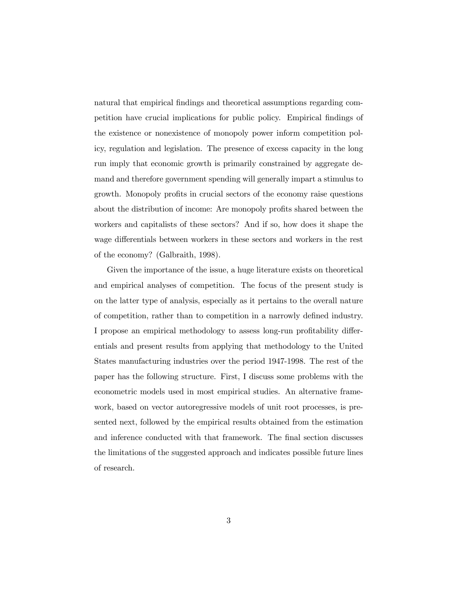natural that empirical findings and theoretical assumptions regarding competition have crucial implications for public policy. Empirical findings of the existence or nonexistence of monopoly power inform competition policy, regulation and legislation. The presence of excess capacity in the long run imply that economic growth is primarily constrained by aggregate demand and therefore government spending will generally impart a stimulus to growth. Monopoly profits in crucial sectors of the economy raise questions about the distribution of income: Are monopoly profits shared between the workers and capitalists of these sectors? And if so, how does it shape the wage differentials between workers in these sectors and workers in the rest of the economy? (Galbraith, 1998).

Given the importance of the issue, a huge literature exists on theoretical and empirical analyses of competition. The focus of the present study is on the latter type of analysis, especially as it pertains to the overall nature of competition, rather than to competition in a narrowly defined industry. I propose an empirical methodology to assess long-run profitability differentials and present results from applying that methodology to the United States manufacturing industries over the period 1947-1998. The rest of the paper has the following structure. First, I discuss some problems with the econometric models used in most empirical studies. An alternative framework, based on vector autoregressive models of unit root processes, is presented next, followed by the empirical results obtained from the estimation and inference conducted with that framework. The final section discusses the limitations of the suggested approach and indicates possible future lines of research.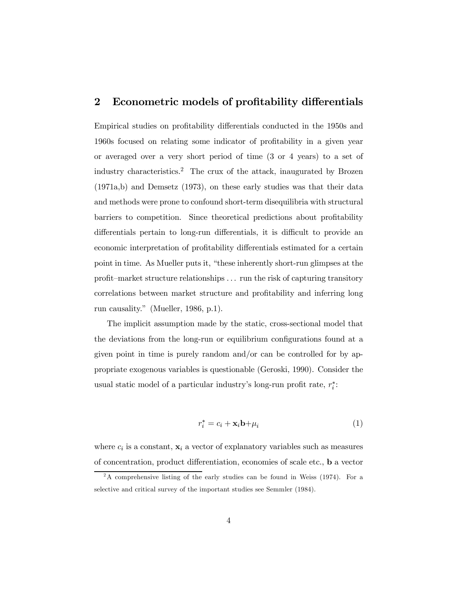### 2 Econometric models of profitability differentials

Empirical studies on profitability differentials conducted in the 1950s and 1960s focused on relating some indicator of profitability in a given year or averaged over a very short period of time (3 or 4 years) to a set of industry characteristics. <sup>2</sup> The crux of the attack, inaugurated by Brozen (1971a,b) and Demsetz (1973), on these early studies was that their data and methods were prone to confound short-term disequilibria with structural barriers to competition. Since theoretical predictions about profitability differentials pertain to long-run differentials, it is difficult to provide an economic interpretation of profitability differentials estimated for a certain point in time. As Mueller puts it, "these inherently short-run glimpses at the profit–market structure relationships  $\dots$  run the risk of capturing transitory correlations between market structure and profitability and inferring long run causality." (Mueller, 1986, p.1).

The implicit assumption made by the static, cross-sectional model that the deviations from the long-run or equilibrium configurations found at a given point in time is purely random and/or can be controlled for by appropriate exogenous variables is questionable (Geroski, 1990). Consider the usual static model of a particular industry's long-run profit rate,  $r_i^*$ :

$$
r_i^* = c_i + \mathbf{x}_i \mathbf{b} + \mu_i \tag{1}
$$

where  $c_i$  is a constant,  $\mathbf{x}_i$  a vector of explanatory variables such as measures of concentration, product differentiation, economies of scale etc., **b** a vector

 $2A$  comprehensive listing of the early studies can be found in Weiss (1974). For a selective and critical survey of the important studies see Semmler (1984).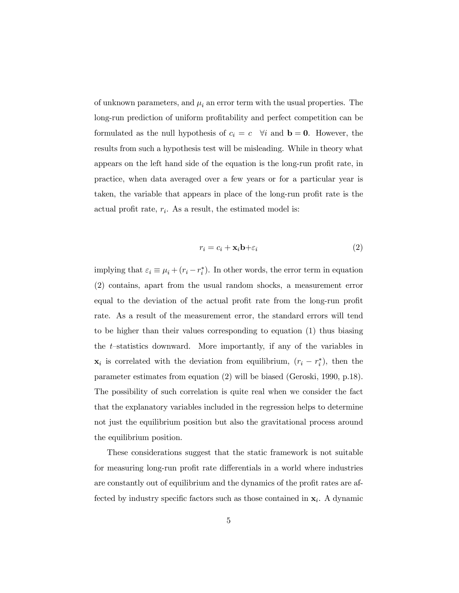of unknown parameters, and  $\mu_i$  an error term with the usual properties. The long-run prediction of uniform profitability and perfect competition can be formulated as the null hypothesis of  $c_i = c \quad \forall i$  and  $\mathbf{b} = \mathbf{0}$ . However, the results from such a hypothesis test will be misleading. While in theory what appears on the left hand side of the equation is the long-run profit rate, in practice, when data averaged over a few years or for a particular year is taken, the variable that appears in place of the long-run profit rate is the actual profit rate,  $r_i$ . As a result, the estimated model is:

$$
r_i = c_i + \mathbf{x}_i \mathbf{b} + \varepsilon_i \tag{2}
$$

implying that  $\varepsilon_i \equiv \mu_i + (r_i - r_i^*)$ . In other words, the error term in equation (2) contains, apart from the usual random shocks, a measurement error equal to the deviation of the actual profit rate from the long-run profit rate. As a result of the measurement error, the standard errors will tend to be higher than their values corresponding to equation (1) thus biasing the t–statistics downward. More importantly, if any of the variables in  $\mathbf{x}_i$  is correlated with the deviation from equilibrium,  $(r_i - r_i^*)$ , then the parameter estimates from equation (2) will be biased (Geroski, 1990, p.18). The possibility of such correlation is quite real when we consider the fact that the explanatory variables included in the regression helps to determine not just the equilibrium position but also the gravitational process around the equilibrium position.

These considerations suggest that the static framework is not suitable for measuring long-run profit rate differentials in a world where industries are constantly out of equilibrium and the dynamics of the profit rates are affected by industry specific factors such as those contained in  $x_i$ . A dynamic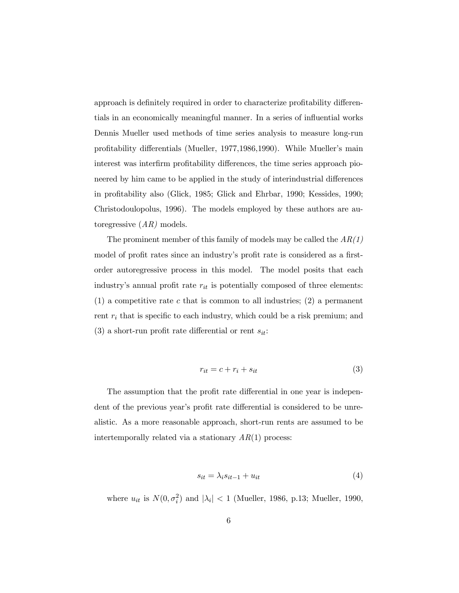approach is definitely required in order to characterize profitability differentials in an economically meaningful manner. In a series of in‡uential works Dennis Mueller used methods of time series analysis to measure long-run profitability differentials (Mueller, 1977, 1986, 1990). While Mueller's main interest was interfirm profitability differences, the time series approach pioneered by him came to be applied in the study of interindustrial differences in profitability also (Glick, 1985; Glick and Ehrbar, 1990; Kessides, 1990; Christodoulopolus, 1996). The models employed by these authors are autoregressive  $(AR)$  models.

The prominent member of this family of models may be called the  $AR(1)$ model of profit rates since an industry's profit rate is considered as a firstorder autoregressive process in this model. The model posits that each industry's annual profit rate  $r_{it}$  is potentially composed of three elements: (1) a competitive rate c that is common to all industries; (2) a permanent rent  $r_i$  that is specific to each industry, which could be a risk premium; and (3) a short-run profit rate differential or rent  $s_{it}$ :

$$
r_{it} = c + r_i + s_{it} \tag{3}
$$

The assumption that the profit rate differential in one year is independent of the previous year's profit rate differential is considered to be unrealistic. As a more reasonable approach, short-run rents are assumed to be intertemporally related via a stationary  $AR(1)$  process:

$$
s_{it} = \lambda_i s_{it-1} + u_{it} \tag{4}
$$

where  $u_{it}$  is  $N(0, \sigma_i^2)$  and  $|\lambda_i| < 1$  (Mueller, 1986, p.13; Mueller, 1990,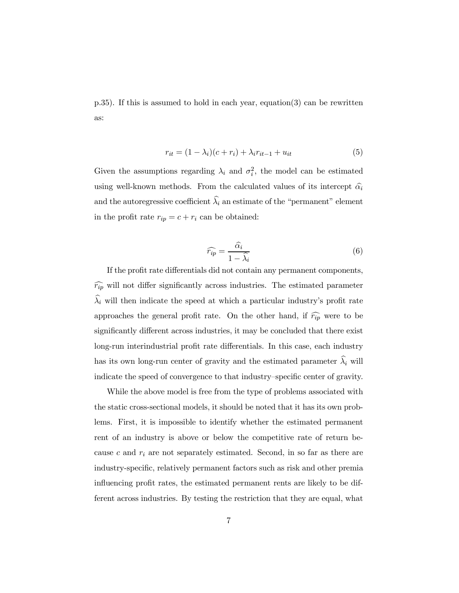p.35). If this is assumed to hold in each year, equation(3) can be rewritten as:

$$
r_{it} = (1 - \lambda_i)(c + r_i) + \lambda_i r_{it-1} + u_{it}
$$
\n
$$
\tag{5}
$$

Given the assumptions regarding  $\lambda_i$  and  $\sigma_i^2$ , the model can be estimated using well-known methods. From the calculated values of its intercept  $\hat{\alpha_i}$ and the autoregressive coefficient  $\widehat{\lambda}_i$  an estimate of the "permanent" element in the profit rate  $r_{ip} = c + r_i$  can be obtained:

$$
\widehat{r_{ip}} = \frac{\widehat{\alpha_i}}{1 - \widehat{\lambda_i}}\tag{6}
$$

If the profit rate differentials did not contain any permanent components,  $\widehat{r_{ip}}$  will not differ significantly across industries. The estimated parameter  $\widehat{\lambda}_i$  will then indicate the speed at which a particular industry's profit rate approaches the general profit rate. On the other hand, if  $\widehat{r_{ip}}$  were to be significantly different across industries, it may be concluded that there exist long-run interindustrial profit rate differentials. In this case, each industry has its own long-run center of gravity and the estimated parameter  $\widehat{\lambda_i}$  will indicate the speed of convergence to that industry–specific center of gravity.

While the above model is free from the type of problems associated with the static cross-sectional models, it should be noted that it has its own problems. First, it is impossible to identify whether the estimated permanent rent of an industry is above or below the competitive rate of return because c and  $r_i$  are not separately estimated. Second, in so far as there are industry-specific, relatively permanent factors such as risk and other premia influencing profit rates, the estimated permanent rents are likely to be different across industries. By testing the restriction that they are equal, what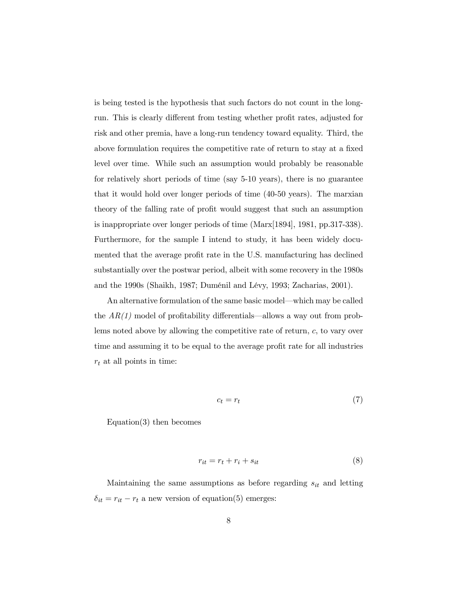is being tested is the hypothesis that such factors do not count in the longrun. This is clearly different from testing whether profit rates, adjusted for risk and other premia, have a long-run tendency toward equality. Third, the above formulation requires the competitive rate of return to stay at a fixed level over time. While such an assumption would probably be reasonable for relatively short periods of time (say 5-10 years), there is no guarantee that it would hold over longer periods of time (40-50 years). The marxian theory of the falling rate of profit would suggest that such an assumption is inappropriate over longer periods of time (Marx[1894], 1981, pp.317-338). Furthermore, for the sample I intend to study, it has been widely documented that the average profit rate in the U.S. manufacturing has declined substantially over the postwar period, albeit with some recovery in the 1980s and the 1990s (Shaikh, 1987; Duménil and Lévy, 1993; Zacharias, 2001).

An alternative formulation of the same basic model—which may be called the  $AR(1)$  model of profitability differentials—allows a way out from problems noted above by allowing the competitive rate of return, c, to vary over time and assuming it to be equal to the average profit rate for all industries  $r_t$  at all points in time:

$$
c_t = r_t \tag{7}
$$

Equation(3) then becomes

$$
r_{it} = r_t + r_i + s_{it} \tag{8}
$$

Maintaining the same assumptions as before regarding  $s_{it}$  and letting  $\delta_{it} = r_{it} - r_t$  a new version of equation(5) emerges: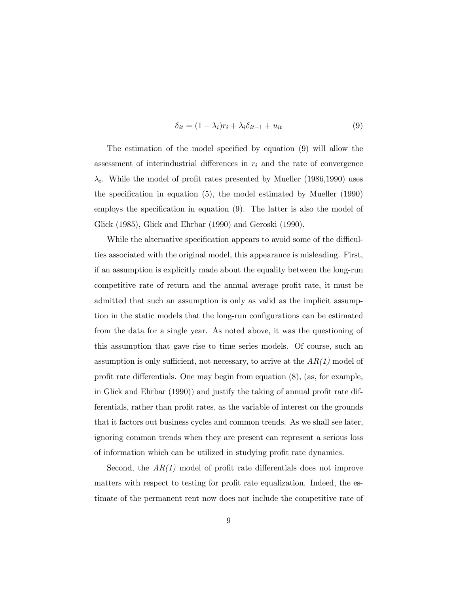$$
\delta_{it} = (1 - \lambda_i)r_i + \lambda_i \delta_{it-1} + u_{it} \tag{9}
$$

The estimation of the model specified by equation  $(9)$  will allow the assessment of interindustrial differences in  $r_i$  and the rate of convergence  $\lambda_i$ . While the model of profit rates presented by Mueller (1986,1990) uses the specification in equation  $(5)$ , the model estimated by Mueller  $(1990)$ employs the specification in equation  $(9)$ . The latter is also the model of Glick (1985), Glick and Ehrbar (1990) and Geroski (1990).

While the alternative specification appears to avoid some of the difficulties associated with the original model, this appearance is misleading. First, if an assumption is explicitly made about the equality between the long-run competitive rate of return and the annual average profit rate, it must be admitted that such an assumption is only as valid as the implicit assumption in the static models that the long-run configurations can be estimated from the data for a single year. As noted above, it was the questioning of this assumption that gave rise to time series models. Of course, such an assumption is only sufficient, not necessary, to arrive at the  $AR(1)$  model of profit rate differentials. One may begin from equation  $(8)$ ,  $(as, for example,$ in Glick and Ehrbar  $(1990)$  and justify the taking of annual profit rate differentials, rather than profit rates, as the variable of interest on the grounds that it factors out business cycles and common trends. As we shall see later, ignoring common trends when they are present can represent a serious loss of information which can be utilized in studying profit rate dynamics.

Second, the  $AR(1)$  model of profit rate differentials does not improve matters with respect to testing for profit rate equalization. Indeed, the estimate of the permanent rent now does not include the competitive rate of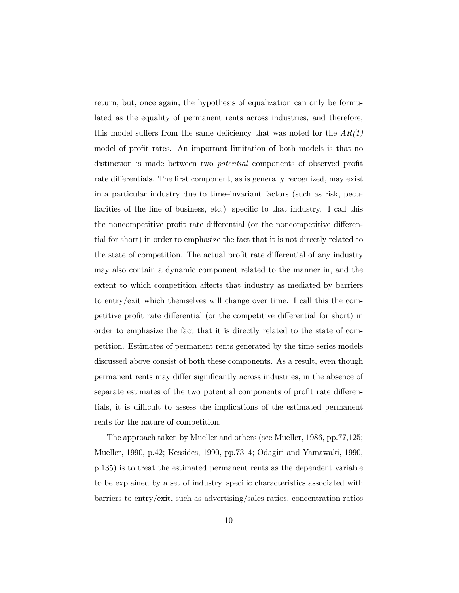return; but, once again, the hypothesis of equalization can only be formulated as the equality of permanent rents across industries, and therefore, this model suffers from the same deficiency that was noted for the  $AR(1)$ model of profit rates. An important limitation of both models is that no distinction is made between two *potential* components of observed profit rate differentials. The first component, as is generally recognized, may exist in a particular industry due to time–invariant factors (such as risk, peculiarities of the line of business, etc.) specific to that industry. I call this the noncompetitive profit rate differential (or the noncompetitive differential for short) in order to emphasize the fact that it is not directly related to the state of competition. The actual profit rate differential of any industry may also contain a dynamic component related to the manner in, and the extent to which competition affects that industry as mediated by barriers to entry/exit which themselves will change over time. I call this the competitive profit rate differential (or the competitive differential for short) in order to emphasize the fact that it is directly related to the state of competition. Estimates of permanent rents generated by the time series models discussed above consist of both these components. As a result, even though permanent rents may differ significantly across industries, in the absence of separate estimates of the two potential components of profit rate differentials, it is difficult to assess the implications of the estimated permanent rents for the nature of competition.

The approach taken by Mueller and others (see Mueller, 1986, pp.77,125; Mueller, 1990, p.42; Kessides, 1990, pp.73–4; Odagiri and Yamawaki, 1990, p.135) is to treat the estimated permanent rents as the dependent variable to be explained by a set of industry–specific characteristics associated with barriers to entry/exit, such as advertising/sales ratios, concentration ratios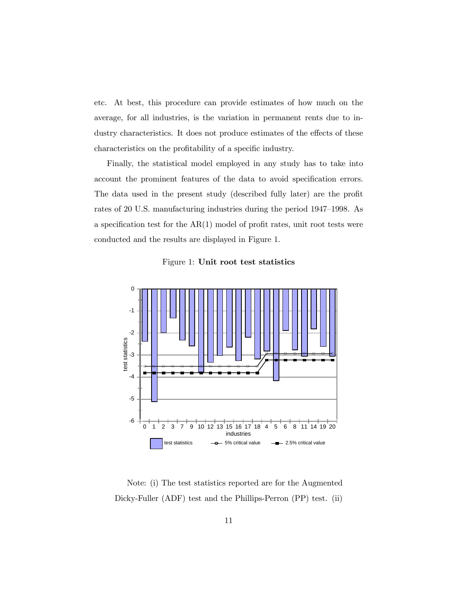etc. At best, this procedure can provide estimates of how much on the average, for all industries, is the variation in permanent rents due to industry characteristics. It does not produce estimates of the effects of these characteristics on the profitability of a specific industry.

Finally, the statistical model employed in any study has to take into account the prominent features of the data to avoid specification errors. The data used in the present study (described fully later) are the profit rates of 20 U.S. manufacturing industries during the period 1947–1998. As a specification test for the  $AR(1)$  model of profit rates, unit root tests were conducted and the results are displayed in Figure 1.





Note: (i) The test statistics reported are for the Augmented Dicky-Fuller (ADF) test and the Phillips-Perron (PP) test. (ii)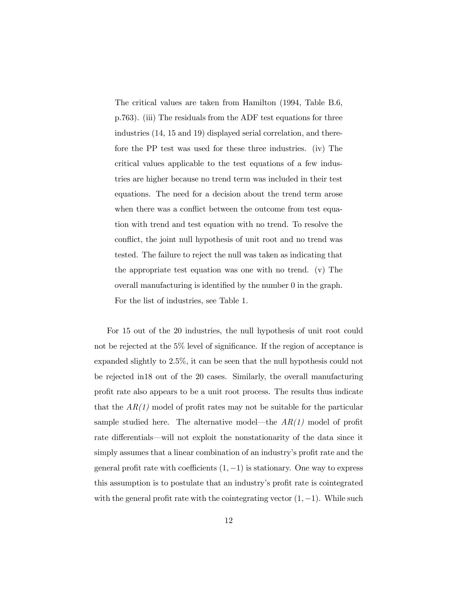The critical values are taken from Hamilton (1994, Table B.6, p.763). (iii) The residuals from the ADF test equations for three industries (14, 15 and 19) displayed serial correlation, and therefore the PP test was used for these three industries. (iv) The critical values applicable to the test equations of a few industries are higher because no trend term was included in their test equations. The need for a decision about the trend term arose when there was a conflict between the outcome from test equation with trend and test equation with no trend. To resolve the conflict, the joint null hypothesis of unit root and no trend was tested. The failure to reject the null was taken as indicating that the appropriate test equation was one with no trend. (v) The overall manufacturing is identified by the number  $\theta$  in the graph. For the list of industries, see Table 1.

For 15 out of the 20 industries, the null hypothesis of unit root could not be rejected at the  $5\%$  level of significance. If the region of acceptance is expanded slightly to 2.5%, it can be seen that the null hypothesis could not be rejected in18 out of the 20 cases. Similarly, the overall manufacturing profit rate also appears to be a unit root process. The results thus indicate that the  $AR(1)$  model of profit rates may not be suitable for the particular sample studied here. The alternative model—the  $AR(1)$  model of profit rate differentials—will not exploit the nonstationarity of the data since it simply assumes that a linear combination of an industry's profit rate and the general profit rate with coefficients  $(1, -1)$  is stationary. One way to express this assumption is to postulate that an industry's profit rate is cointegrated with the general profit rate with the cointegrating vector  $(1, -1)$ . While such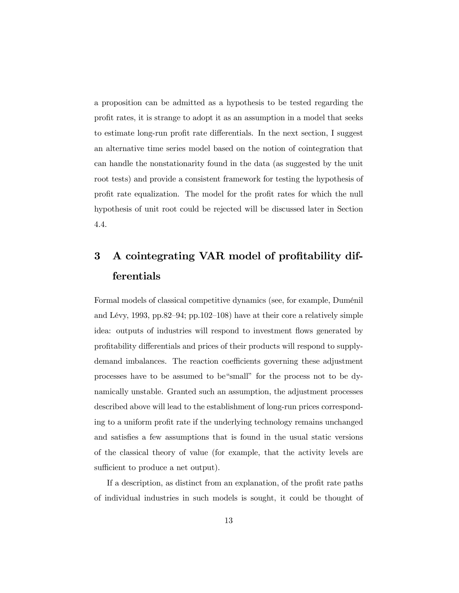a proposition can be admitted as a hypothesis to be tested regarding the profit rates, it is strange to adopt it as an assumption in a model that seeks to estimate long-run profit rate differentials. In the next section, I suggest an alternative time series model based on the notion of cointegration that can handle the nonstationarity found in the data (as suggested by the unit root tests) and provide a consistent framework for testing the hypothesis of profit rate equalization. The model for the profit rates for which the null hypothesis of unit root could be rejected will be discussed later in Section 4.4.

# 3 A cointegrating VAR model of profitability differentials

Formal models of classical competitive dynamics (see, for example, Duménil and Lévy, 1993, pp.82–94; pp.102–108) have at their core a relatively simple idea: outputs of industries will respond to investment flows generated by profitability differentials and prices of their products will respond to supplydemand imbalances. The reaction coefficients governing these adjustment processes have to be assumed to be"small" for the process not to be dynamically unstable. Granted such an assumption, the adjustment processes described above will lead to the establishment of long-run prices corresponding to a uniform profit rate if the underlying technology remains unchanged and satisfies a few assumptions that is found in the usual static versions of the classical theory of value (for example, that the activity levels are sufficient to produce a net output).

If a description, as distinct from an explanation, of the profit rate paths of individual industries in such models is sought, it could be thought of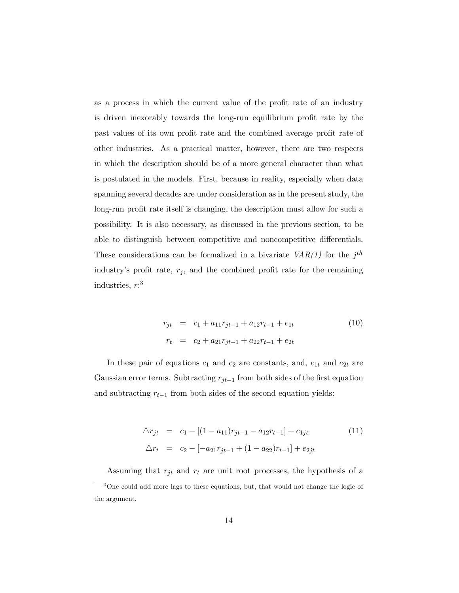as a process in which the current value of the profit rate of an industry is driven inexorably towards the long-run equilibrium profit rate by the past values of its own profit rate and the combined average profit rate of other industries. As a practical matter, however, there are two respects in which the description should be of a more general character than what is postulated in the models. First, because in reality, especially when data spanning several decades are under consideration as in the present study, the long-run profit rate itself is changing, the description must allow for such a possibility. It is also necessary, as discussed in the previous section, to be able to distinguish between competitive and noncompetitive differentials. These considerations can be formalized in a bivariate  $VAR(1)$  for the  $j<sup>th</sup>$ industry's profit rate,  $r_j$ , and the combined profit rate for the remaining industries,  $r:3$ 

$$
r_{jt} = c_1 + a_{11}r_{jt-1} + a_{12}r_{t-1} + e_{1t}
$$
  
\n
$$
r_t = c_2 + a_{21}r_{jt-1} + a_{22}r_{t-1} + e_{2t}
$$
\n(10)

In these pair of equations  $c_1$  and  $c_2$  are constants, and,  $e_{1t}$  and  $e_{2t}$  are Gaussian error terms. Subtracting  $r_{jt-1}$  from both sides of the first equation and subtracting  $r_{t-1}$  from both sides of the second equation yields:

$$
\Delta r_{jt} = c_1 - [(1 - a_{11})r_{jt-1} - a_{12}r_{t-1}] + e_{1jt} \tag{11}
$$
\n
$$
\Delta r_t = c_2 - [-a_{21}r_{jt-1} + (1 - a_{22})r_{t-1}] + e_{2jt}
$$

Assuming that  $r_{jt}$  and  $r_t$  are unit root processes, the hypothesis of a

<sup>&</sup>lt;sup>3</sup>One could add more lags to these equations, but, that would not change the logic of the argument.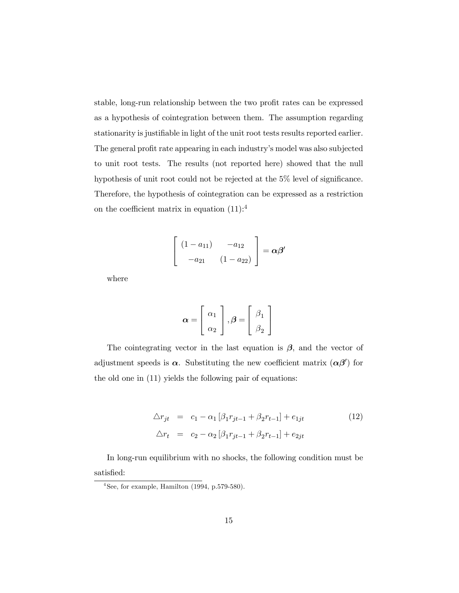stable, long-run relationship between the two profit rates can be expressed as a hypothesis of cointegration between them. The assumption regarding stationarity is justifiable in light of the unit root tests results reported earlier. The general profit rate appearing in each industry's model was also subjected to unit root tests. The results (not reported here) showed that the null hypothesis of unit root could not be rejected at the  $5\%$  level of significance. Therefore, the hypothesis of cointegration can be expressed as a restriction on the coefficient matrix in equation  $(11)$ :<sup>4</sup>

$$
\left[\begin{array}{cc} (1-a_{11}) & -a_{12} \\ -a_{21} & (1-a_{22}) \end{array}\right] = \alpha \beta'
$$

where

$$
\boldsymbol{\alpha} = \left[ \begin{array}{c} \alpha_1 \\ \alpha_2 \end{array} \right], \boldsymbol{\beta} = \left[ \begin{array}{c} \beta_1 \\ \beta_2 \end{array} \right]
$$

The cointegrating vector in the last equation is  $\beta$ , and the vector of adjustment speeds is  $\alpha$ . Substituting the new coefficient matrix  $(\alpha\beta')$  for the old one in (11) yields the following pair of equations:

$$
\Delta r_{jt} = c_1 - \alpha_1 [\beta_1 r_{jt-1} + \beta_2 r_{t-1}] + e_{1jt}
$$
\n
$$
\Delta r_t = c_2 - \alpha_2 [\beta_1 r_{jt-1} + \beta_2 r_{t-1}] + e_{2jt}
$$
\n(12)

In long-run equilibrium with no shocks, the following condition must be satisfied:

 $4$ See, for example, Hamilton (1994, p.579-580).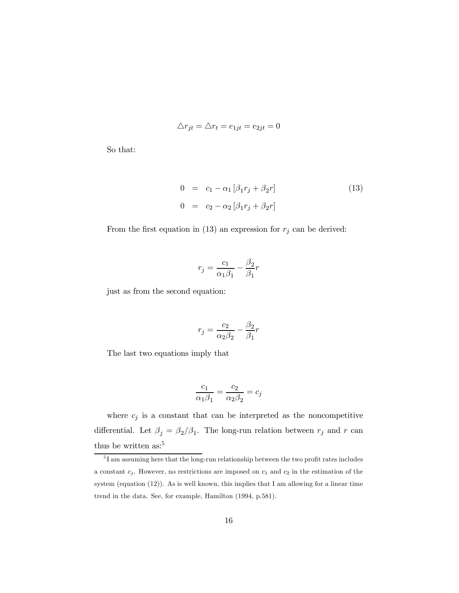$$
\triangle r_{jt} = \triangle r_t = e_{1jt} = e_{2jt} = 0
$$

So that:

$$
0 = c_1 - \alpha_1 [\beta_1 r_j + \beta_2 r]
$$
  
\n
$$
0 = c_2 - \alpha_2 [\beta_1 r_j + \beta_2 r]
$$
\n(13)

From the first equation in (13) an expression for  $r_j$  can be derived:

$$
r_j = \frac{c_1}{\alpha_1 \beta_1} - \frac{\beta_2}{\beta_1} r
$$

just as from the second equation:

$$
r_j = \frac{c_2}{\alpha_2 \beta_2} - \frac{\beta_2}{\beta_1} r
$$

The last two equations imply that

$$
\frac{c_1}{\alpha_1\beta_1}=\frac{c_2}{\alpha_2\beta_2}=c_j
$$

where  $c_j$  is a constant that can be interpreted as the noncompetitive differential. Let  $\beta_j = \beta_2/\beta_1$ . The long-run relation between  $r_j$  and r can thus be written as:<sup>5</sup>

 $5I$  am assuming here that the long-run relationship between the two profit rates includes a constant  $c_j$ . However, no restrictions are imposed on  $c_1$  and  $c_2$  in the estimation of the system (equation (12)). As is well known, this implies that I am allowing for a linear time trend in the data. See, for example, Hamilton (1994, p.581).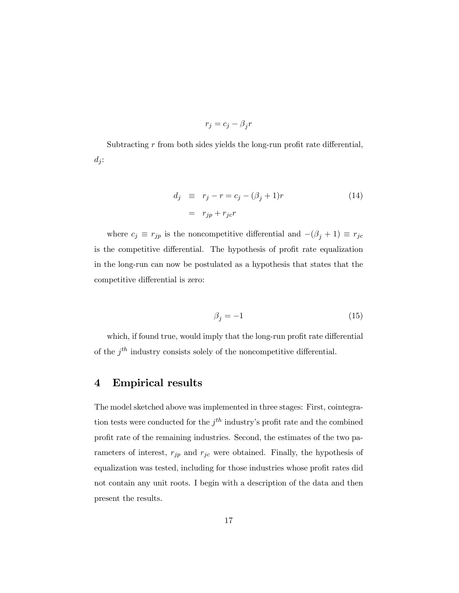$$
r_j = c_j - \beta_j r
$$

Subtracting  $r$  from both sides yields the long-run profit rate differential,  $d_j$ :

$$
d_j \equiv r_j - r = c_j - (\beta_j + 1)r
$$
\n
$$
= r_{jp} + r_{jc}r
$$
\n(14)

where  $c_j \equiv r_{jp}$  is the noncompetitive differential and  $-(\beta_j + 1) \equiv r_{jc}$ is the competitive differential. The hypothesis of profit rate equalization in the long-run can now be postulated as a hypothesis that states that the competitive differential is zero:

$$
\beta_j = -1\tag{15}
$$

which, if found true, would imply that the long-run profit rate differential of the  $j<sup>th</sup>$  industry consists solely of the noncompetitive differential.

### 4 Empirical results

The model sketched above was implemented in three stages: First, cointegration tests were conducted for the  $j<sup>th</sup>$  industry's profit rate and the combined profit rate of the remaining industries. Second, the estimates of the two parameters of interest,  $r_{jp}$  and  $r_{jc}$  were obtained. Finally, the hypothesis of equalization was tested, including for those industries whose profit rates did not contain any unit roots. I begin with a description of the data and then present the results.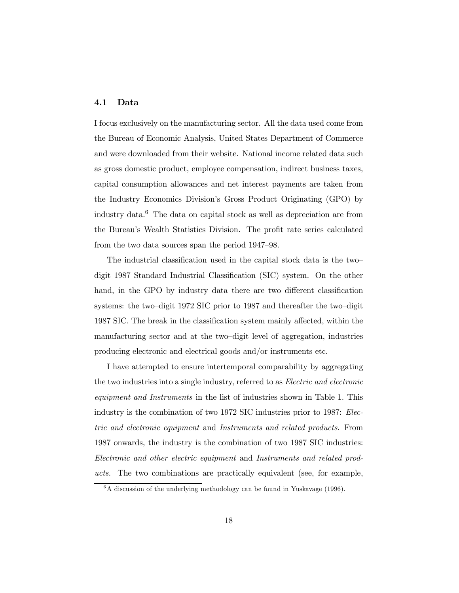#### 4.1 Data

I focus exclusively on the manufacturing sector. All the data used come from the Bureau of Economic Analysis, United States Department of Commerce and were downloaded from their website. National income related data such as gross domestic product, employee compensation, indirect business taxes, capital consumption allowances and net interest payments are taken from the Industry Economics Division's Gross Product Originating (GPO) by industry data. <sup>6</sup> The data on capital stock as well as depreciation are from the Bureau's Wealth Statistics Division. The profit rate series calculated from the two data sources span the period 1947–98.

The industrial classification used in the capital stock data is the two– digit 1987 Standard Industrial Classification (SIC) system. On the other hand, in the GPO by industry data there are two different classification systems: the two–digit 1972 SIC prior to 1987 and thereafter the two–digit 1987 SIC. The break in the classification system mainly affected, within the manufacturing sector and at the two–digit level of aggregation, industries producing electronic and electrical goods and/or instruments etc.

I have attempted to ensure intertemporal comparability by aggregating the two industries into a single industry, referred to as *Electric and electronic* equipment and Instruments in the list of industries shown in Table 1. This industry is the combination of two 1972 SIC industries prior to 1987: Electric and electronic equipment and Instruments and related products. From 1987 onwards, the industry is the combination of two 1987 SIC industries: Electronic and other electric equipment and Instruments and related products. The two combinations are practically equivalent (see, for example,

 $6A$  discussion of the underlying methodology can be found in Yuskavage (1996).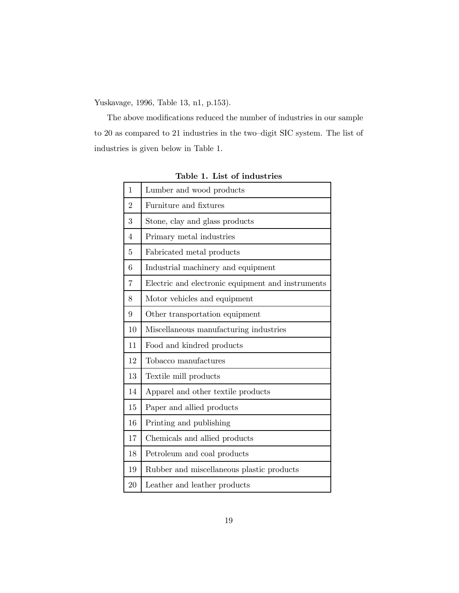Yuskavage, 1996, Table 13, n1, p.153).

The above modifications reduced the number of industries in our sample to 20 as compared to 21 industries in the two–digit SIC system. The list of industries is given below in Table 1.

| 1              | Lumber and wood products                          |  |  |  |
|----------------|---------------------------------------------------|--|--|--|
| $\overline{2}$ | Furniture and fixtures                            |  |  |  |
| 3              | Stone, clay and glass products                    |  |  |  |
| 4              | Primary metal industries                          |  |  |  |
| 5              | Fabricated metal products                         |  |  |  |
| 6              | Industrial machinery and equipment                |  |  |  |
| 7              | Electric and electronic equipment and instruments |  |  |  |
| 8              | Motor vehicles and equipment                      |  |  |  |
| 9              | Other transportation equipment                    |  |  |  |
| 10             | Miscellaneous manufacturing industries            |  |  |  |
| 11             | Food and kindred products                         |  |  |  |
| 12             | Tobacco manufactures                              |  |  |  |
| 13             | Textile mill products                             |  |  |  |
| 14             | Apparel and other textile products                |  |  |  |
| 15             | Paper and allied products                         |  |  |  |
| 16             | Printing and publishing                           |  |  |  |
| 17             | Chemicals and allied products                     |  |  |  |
| 18             | Petroleum and coal products                       |  |  |  |
| 19             | Rubber and miscellaneous plastic products         |  |  |  |
| 20             | Leather and leather products                      |  |  |  |
|                |                                                   |  |  |  |

Table 1. List of industries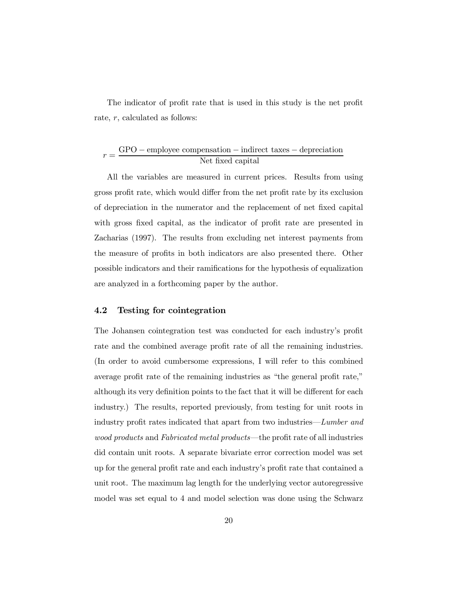The indicator of profit rate that is used in this study is the net profit rate, r, calculated as follows:

$$
r = \frac{GPO - employee compensation - indirect taxes - depreciation}{Net fixed capital}
$$

All the variables are measured in current prices. Results from using gross profit rate, which would differ from the net profit rate by its exclusion of depreciation in the numerator and the replacement of net fixed capital with gross fixed capital, as the indicator of profit rate are presented in Zacharias (1997). The results from excluding net interest payments from the measure of profits in both indicators are also presented there. Other possible indicators and their ramifications for the hypothesis of equalization are analyzed in a forthcoming paper by the author.

#### 4.2 Testing for cointegration

The Johansen cointegration test was conducted for each industry's profit rate and the combined average profit rate of all the remaining industries. (In order to avoid cumbersome expressions, I will refer to this combined average profit rate of the remaining industries as "the general profit rate," although its very definition points to the fact that it will be different for each industry.) The results, reported previously, from testing for unit roots in industry profit rates indicated that apart from two industries—Lumber and wood products and Fabricated metal products—the profit rate of all industries did contain unit roots. A separate bivariate error correction model was set up for the general profit rate and each industry's profit rate that contained a unit root. The maximum lag length for the underlying vector autoregressive model was set equal to 4 and model selection was done using the Schwarz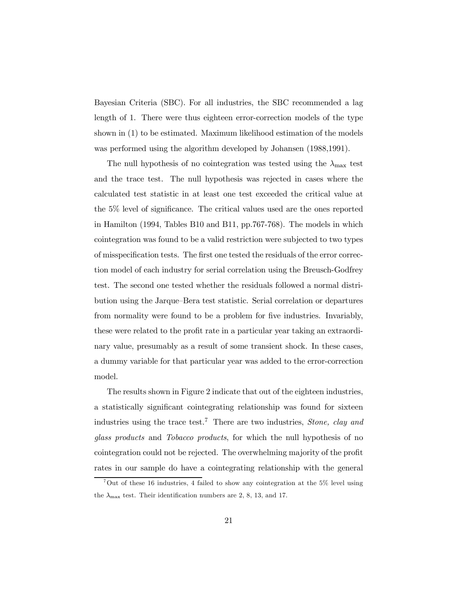Bayesian Criteria (SBC). For all industries, the SBC recommended a lag length of 1. There were thus eighteen error-correction models of the type shown in (1) to be estimated. Maximum likelihood estimation of the models was performed using the algorithm developed by Johansen (1988,1991).

The null hypothesis of no cointegration was tested using the  $\lambda_{\text{max}}$  test and the trace test. The null hypothesis was rejected in cases where the calculated test statistic in at least one test exceeded the critical value at the  $5\%$  level of significance. The critical values used are the ones reported in Hamilton (1994, Tables B10 and B11, pp.767-768). The models in which cointegration was found to be a valid restriction were subjected to two types of misspecification tests. The first one tested the residuals of the error correction model of each industry for serial correlation using the Breusch-Godfrey test. The second one tested whether the residuals followed a normal distribution using the Jarque–Bera test statistic. Serial correlation or departures from normality were found to be a problem for five industries. Invariably, these were related to the profit rate in a particular year taking an extraordinary value, presumably as a result of some transient shock. In these cases, a dummy variable for that particular year was added to the error-correction model.

The results shown in Figure 2 indicate that out of the eighteen industries, a statistically significant cointegrating relationship was found for sixteen industries using the trace test.<sup>7</sup> There are two industries, *Stone, clay and* glass products and Tobacco products, for which the null hypothesis of no cointegration could not be rejected. The overwhelming majority of the profit rates in our sample do have a cointegrating relationship with the general

<sup>&</sup>lt;sup>7</sup>Out of these 16 industries, 4 failed to show any cointegration at the  $5\%$  level using the  $\lambda_{\text{max}}$  test. Their identification numbers are 2, 8, 13, and 17.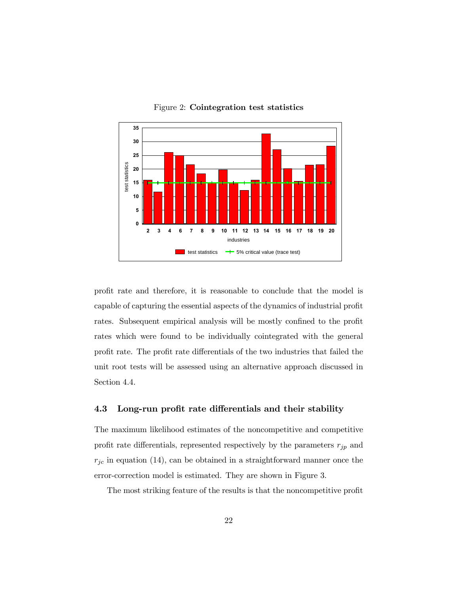

Figure 2: Cointegration test statistics

profit rate and therefore, it is reasonable to conclude that the model is capable of capturing the essential aspects of the dynamics of industrial profit rates. Subsequent empirical analysis will be mostly confined to the profit rates which were found to be individually cointegrated with the general profit rate. The profit rate differentials of the two industries that failed the unit root tests will be assessed using an alternative approach discussed in Section 4.4.

#### 4.3 Long-run profit rate differentials and their stability

The maximum likelihood estimates of the noncompetitive and competitive profit rate differentials, represented respectively by the parameters  $r_{jp}$  and  $r_{jc}$  in equation (14), can be obtained in a straightforward manner once the error-correction model is estimated. They are shown in Figure 3.

The most striking feature of the results is that the noncompetitive profit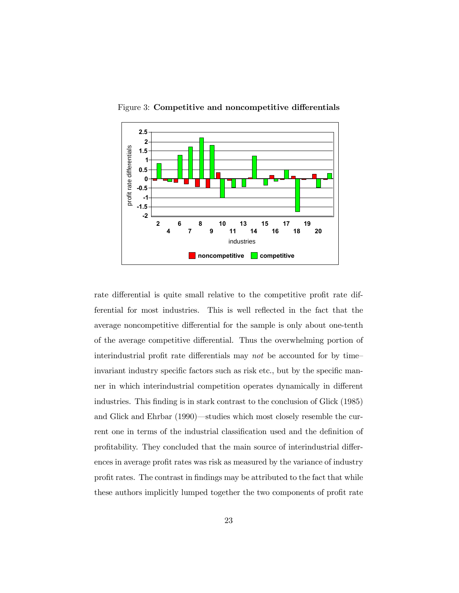

Figure 3: Competitive and noncompetitive differentials

rate differential is quite small relative to the competitive profit rate differential for most industries. This is well reflected in the fact that the average noncompetitive differential for the sample is only about one-tenth of the average competitive differential. Thus the overwhelming portion of interindustrial profit rate differentials may not be accounted for by time– invariant industry specific factors such as risk etc., but by the specific manner in which interindustrial competition operates dynamically in different industries. This finding is in stark contrast to the conclusion of Glick (1985) and Glick and Ehrbar (1990)—studies which most closely resemble the current one in terms of the industrial classification used and the definition of profitability. They concluded that the main source of interindustrial differences in average profit rates was risk as measured by the variance of industry profit rates. The contrast in findings may be attributed to the fact that while these authors implicitly lumped together the two components of profit rate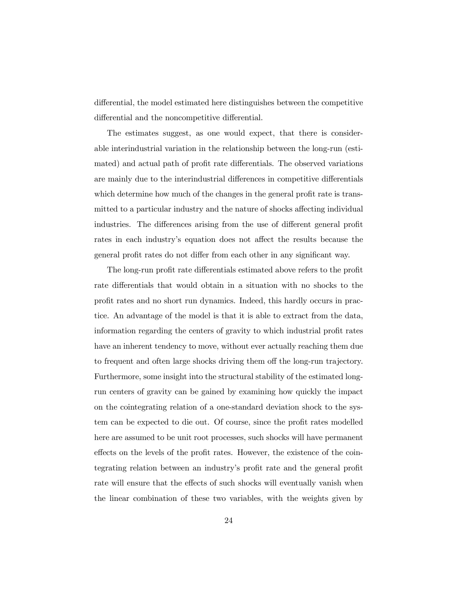differential, the model estimated here distinguishes between the competitive differential and the noncompetitive differential.

The estimates suggest, as one would expect, that there is considerable interindustrial variation in the relationship between the long-run (estimated) and actual path of profit rate differentials. The observed variations are mainly due to the interindustrial differences in competitive differentials which determine how much of the changes in the general profit rate is transmitted to a particular industry and the nature of shocks affecting individual industries. The differences arising from the use of different general profit rates in each industry's equation does not affect the results because the general profit rates do not differ from each other in any significant way.

The long-run profit rate differentials estimated above refers to the profit rate differentials that would obtain in a situation with no shocks to the profit rates and no short run dynamics. Indeed, this hardly occurs in practice. An advantage of the model is that it is able to extract from the data, information regarding the centers of gravity to which industrial profit rates have an inherent tendency to move, without ever actually reaching them due to frequent and often large shocks driving them off the long-run trajectory. Furthermore, some insight into the structural stability of the estimated longrun centers of gravity can be gained by examining how quickly the impact on the cointegrating relation of a one-standard deviation shock to the system can be expected to die out. Of course, since the profit rates modelled here are assumed to be unit root processes, such shocks will have permanent effects on the levels of the profit rates. However, the existence of the cointegrating relation between an industry's profit rate and the general profit rate will ensure that the effects of such shocks will eventually vanish when the linear combination of these two variables, with the weights given by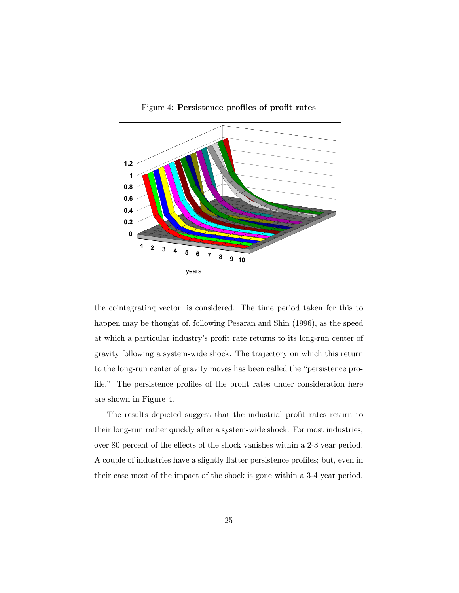

Figure 4: Persistence profiles of profit rates

the cointegrating vector, is considered. The time period taken for this to happen may be thought of, following Pesaran and Shin (1996), as the speed at which a particular industry's profit rate returns to its long-run center of gravity following a system-wide shock. The trajectory on which this return to the long-run center of gravity moves has been called the "persistence pro file." The persistence profiles of the profit rates under consideration here are shown in Figure 4.

The results depicted suggest that the industrial profit rates return to their long-run rather quickly after a system-wide shock. For most industries, over 80 percent of the effects of the shock vanishes within a 2-3 year period. A couple of industries have a slightly flatter persistence profiles; but, even in their case most of the impact of the shock is gone within a 3-4 year period.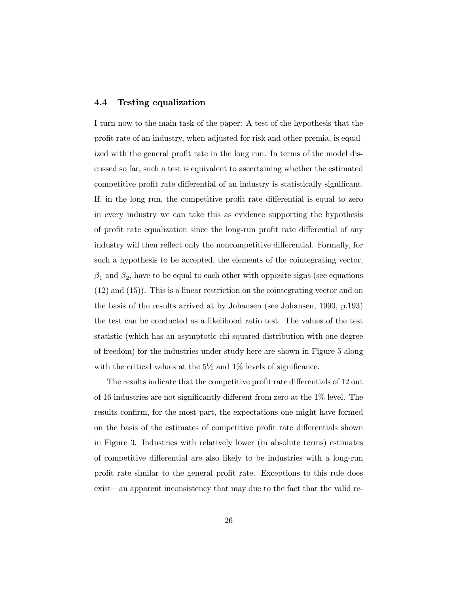#### 4.4 Testing equalization

I turn now to the main task of the paper: A test of the hypothesis that the profit rate of an industry, when adjusted for risk and other premia, is equalized with the general profit rate in the long run. In terms of the model discussed so far, such a test is equivalent to ascertaining whether the estimated competitive profit rate differential of an industry is statistically significant. If, in the long run, the competitive profit rate differential is equal to zero in every industry we can take this as evidence supporting the hypothesis of profit rate equalization since the long-run profit rate differential of any industry will then reflect only the noncompetitive differential. Formally, for such a hypothesis to be accepted, the elements of the cointegrating vector,  $\beta_1$  and  $\beta_2$ , have to be equal to each other with opposite signs (see equations (12) and (15)). This is a linear restriction on the cointegrating vector and on the basis of the results arrived at by Johansen (see Johansen, 1990, p.193) the test can be conducted as a likelihood ratio test. The values of the test statistic (which has an asymptotic chi-squared distribution with one degree of freedom) for the industries under study here are shown in Figure 5 along with the critical values at the  $5\%$  and  $1\%$  levels of significance.

The results indicate that the competitive profit rate differentials of 12 out of 16 industries are not significantly different from zero at the  $1\%$  level. The results confirm, for the most part, the expectations one might have formed on the basis of the estimates of competitive profit rate differentials shown in Figure 3. Industries with relatively lower (in absolute terms) estimates of competitive differential are also likely to be industries with a long-run profit rate similar to the general profit rate. Exceptions to this rule does exist—an apparent inconsistency that may due to the fact that the valid re-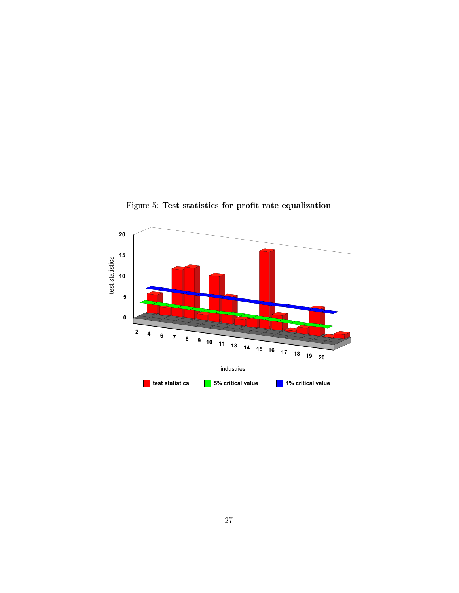

Figure 5: Test statistics for profit rate equalization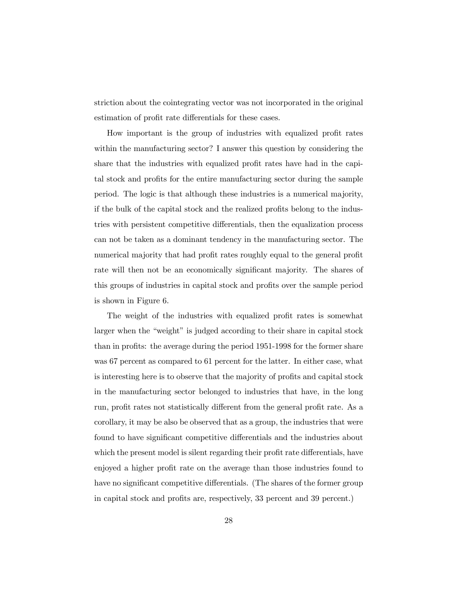striction about the cointegrating vector was not incorporated in the original estimation of profit rate differentials for these cases.

How important is the group of industries with equalized profit rates within the manufacturing sector? I answer this question by considering the share that the industries with equalized profit rates have had in the capital stock and profits for the entire manufacturing sector during the sample period. The logic is that although these industries is a numerical majority, if the bulk of the capital stock and the realized profits belong to the industries with persistent competitive differentials, then the equalization process can not be taken as a dominant tendency in the manufacturing sector. The numerical majority that had profit rates roughly equal to the general profit rate will then not be an economically significant majority. The shares of this groups of industries in capital stock and profits over the sample period is shown in Figure 6.

The weight of the industries with equalized profit rates is somewhat larger when the "weight" is judged according to their share in capital stock than in profits: the average during the period 1951-1998 for the former share was 67 percent as compared to 61 percent for the latter. In either case, what is interesting here is to observe that the majority of profits and capital stock in the manufacturing sector belonged to industries that have, in the long run, profit rates not statistically different from the general profit rate. As a corollary, it may be also be observed that as a group, the industries that were found to have significant competitive differentials and the industries about which the present model is silent regarding their profit rate differentials, have enjoyed a higher profit rate on the average than those industries found to have no significant competitive differentials. (The shares of the former group in capital stock and profits are, respectively, 33 percent and 39 percent.)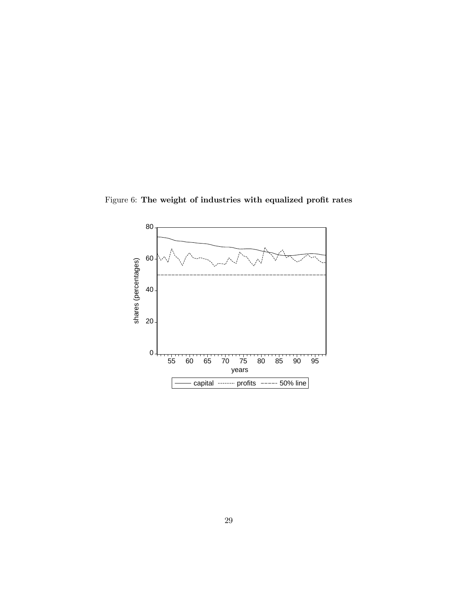Figure 6: The weight of industries with equalized profit rates

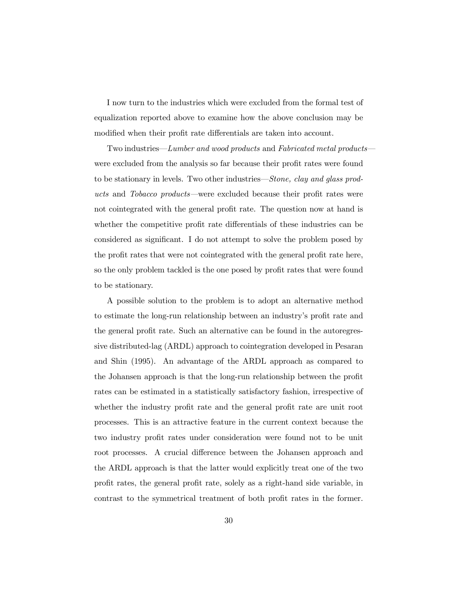I now turn to the industries which were excluded from the formal test of equalization reported above to examine how the above conclusion may be modified when their profit rate differentials are taken into account.

Two industries—Lumber and wood products and Fabricated metal products were excluded from the analysis so far because their profit rates were found to be stationary in levels. Two other industries—Stone, clay and glass products and Tobacco products—were excluded because their profit rates were not cointegrated with the general profit rate. The question now at hand is whether the competitive profit rate differentials of these industries can be considered as significant. I do not attempt to solve the problem posed by the profit rates that were not cointegrated with the general profit rate here, so the only problem tackled is the one posed by profit rates that were found to be stationary.

A possible solution to the problem is to adopt an alternative method to estimate the long-run relationship between an industry's profit rate and the general profit rate. Such an alternative can be found in the autoregressive distributed-lag (ARDL) approach to cointegration developed in Pesaran and Shin (1995). An advantage of the ARDL approach as compared to the Johansen approach is that the long-run relationship between the profit rates can be estimated in a statistically satisfactory fashion, irrespective of whether the industry profit rate and the general profit rate are unit root processes. This is an attractive feature in the current context because the two industry profit rates under consideration were found not to be unit root processes. A crucial difference between the Johansen approach and the ARDL approach is that the latter would explicitly treat one of the two profit rates, the general profit rate, solely as a right-hand side variable, in contrast to the symmetrical treatment of both profit rates in the former.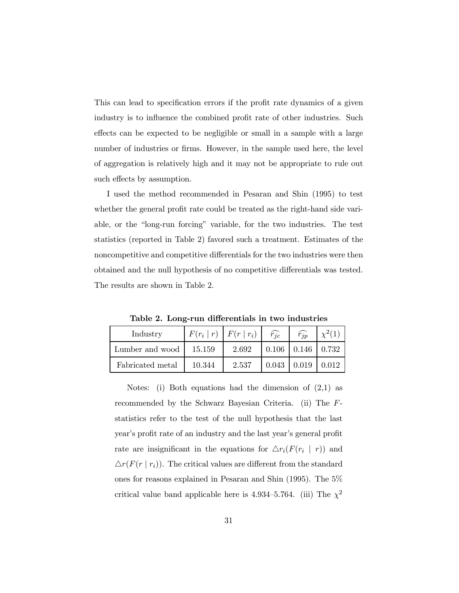This can lead to specification errors if the profit rate dynamics of a given industry is to influence the combined profit rate of other industries. Such effects can be expected to be negligible or small in a sample with a large number of industries or firms. However, in the sample used here, the level of aggregation is relatively high and it may not be appropriate to rule out such effects by assumption.

I used the method recommended in Pesaran and Shin (1995) to test whether the general profit rate could be treated as the right-hand side variable, or the "long-run forcing" variable, for the two industries. The test statistics (reported in Table 2) favored such a treatment. Estimates of the noncompetitive and competitive differentials for the two industries were then obtained and the null hypothesis of no competitive differentials was tested. The results are shown in Table 2.

Table 2. Long-run differentials in two industries

| Industry         |        | $F(r_i   r)   F(r   r_i)$ | $\widehat{r_{ic}}$ | $\widehat{r_{ip}}$          |        |
|------------------|--------|---------------------------|--------------------|-----------------------------|--------|
| Lumber and wood  | 15.159 | 2.692                     |                    | $0.106$   $0.146$   $0.732$ |        |
| Fabricated metal | 10.344 | 2.537                     | 0.043              | $\mid$ 0.019                | 10.012 |

Notes: (i) Both equations had the dimension of (2,1) as recommended by the Schwarz Bayesian Criteria. (ii) The Fstatistics refer to the test of the null hypothesis that the last year's profit rate of an industry and the last year's general profit rate are insignificant in the equations for  $\Delta r_i(F(r_i \mid r))$  and  $\Delta r(F(r \mid r_i))$ . The critical values are different from the standard ones for reasons explained in Pesaran and Shin (1995). The 5% critical value band applicable here is 4.934–5.764. (iii) The  $\chi^2$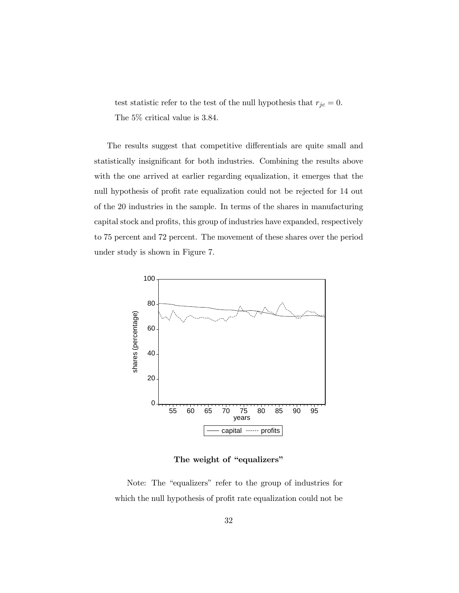test statistic refer to the test of the null hypothesis that  $r_{jc} = 0$ . The 5% critical value is 3.84.

The results suggest that competitive differentials are quite small and statistically insignificant for both industries. Combining the results above with the one arrived at earlier regarding equalization, it emerges that the null hypothesis of profit rate equalization could not be rejected for 14 out of the 20 industries in the sample. In terms of the shares in manufacturing capital stock and profits, this group of industries have expanded, respectively to 75 percent and 72 percent. The movement of these shares over the period under study is shown in Figure 7.



The weight of "equalizers"

Note: The "equalizers" refer to the group of industries for which the null hypothesis of profit rate equalization could not be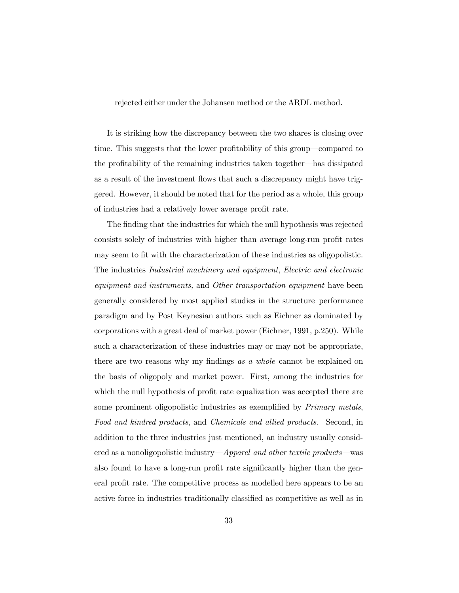rejected either under the Johansen method or the ARDL method.

It is striking how the discrepancy between the two shares is closing over time. This suggests that the lower profitability of this group—compared to the profitability of the remaining industries taken together—has dissipated as a result of the investment flows that such a discrepancy might have triggered. However, it should be noted that for the period as a whole, this group of industries had a relatively lower average profit rate.

The finding that the industries for which the null hypothesis was rejected consists solely of industries with higher than average long-run profit rates may seem to fit with the characterization of these industries as oligopolistic. The industries Industrial machinery and equipment, Electric and electronic equipment and instruments, and Other transportation equipment have been generally considered by most applied studies in the structure–performance paradigm and by Post Keynesian authors such as Eichner as dominated by corporations with a great deal of market power (Eichner, 1991, p.250). While such a characterization of these industries may or may not be appropriate, there are two reasons why my findings as a whole cannot be explained on the basis of oligopoly and market power. First, among the industries for which the null hypothesis of profit rate equalization was accepted there are some prominent oligopolistic industries as exemplified by *Primary metals*, Food and kindred products, and Chemicals and allied products. Second, in addition to the three industries just mentioned, an industry usually considered as a nonoligopolistic industry—Apparel and other textile products—was also found to have a long-run profit rate significantly higher than the general profit rate. The competitive process as modelled here appears to be an active force in industries traditionally classified as competitive as well as in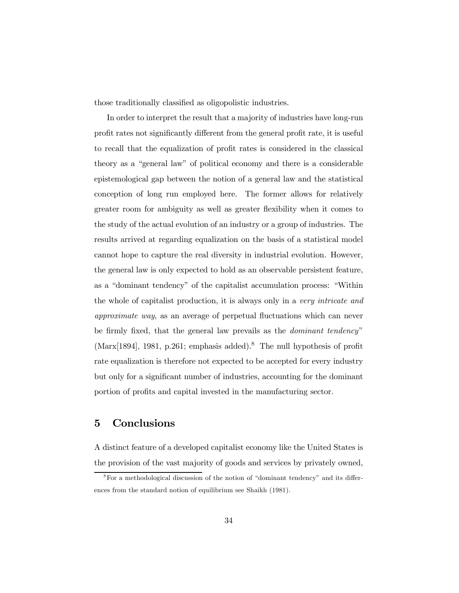those traditionally classified as oligopolistic industries.

In order to interpret the result that a majority of industries have long-run profit rates not significantly different from the general profit rate, it is useful to recall that the equalization of profit rates is considered in the classical theory as a "general law" of political economy and there is a considerable epistemological gap between the notion of a general law and the statistical conception of long run employed here. The former allows for relatively greater room for ambiguity as well as greater ‡exibility when it comes to the study of the actual evolution of an industry or a group of industries. The results arrived at regarding equalization on the basis of a statistical model cannot hope to capture the real diversity in industrial evolution. However, the general law is only expected to hold as an observable persistent feature, as a "dominant tendency" of the capitalist accumulation process: "Within the whole of capitalist production, it is always only in a very intricate and approximate way, as an average of perpetual ‡uctuations which can never be firmly fixed, that the general law prevails as the *dominant tendency*"  $(Marx[1894], 1981, p.261;$  emphasis added).<sup>8</sup> The null hypothesis of profit rate equalization is therefore not expected to be accepted for every industry but only for a significant number of industries, accounting for the dominant portion of profits and capital invested in the manufacturing sector.

## 5 Conclusions

A distinct feature of a developed capitalist economy like the United States is the provision of the vast majority of goods and services by privately owned,

 $8$ For a methodological discussion of the notion of "dominant tendency" and its differences from the standard notion of equilibrium see Shaikh (1981).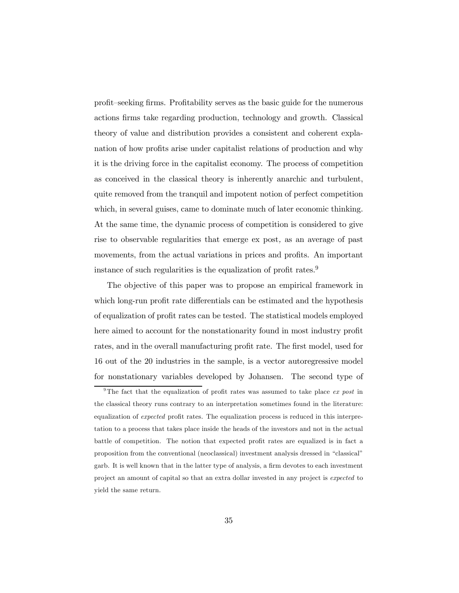profit–seeking firms. Profitability serves as the basic guide for the numerous actions firms take regarding production, technology and growth. Classical theory of value and distribution provides a consistent and coherent explanation of how profits arise under capitalist relations of production and why it is the driving force in the capitalist economy. The process of competition as conceived in the classical theory is inherently anarchic and turbulent, quite removed from the tranquil and impotent notion of perfect competition which, in several guises, came to dominate much of later economic thinking. At the same time, the dynamic process of competition is considered to give rise to observable regularities that emerge ex post, as an average of past movements, from the actual variations in prices and profits. An important instance of such regularities is the equalization of profit rates.<sup>9</sup>

The objective of this paper was to propose an empirical framework in which long-run profit rate differentials can be estimated and the hypothesis of equalization of profit rates can be tested. The statistical models employed here aimed to account for the nonstationarity found in most industry profit rates, and in the overall manufacturing profit rate. The first model, used for 16 out of the 20 industries in the sample, is a vector autoregressive model for nonstationary variables developed by Johansen. The second type of

<sup>&</sup>lt;sup>9</sup>The fact that the equalization of profit rates was assumed to take place *ex post* in the classical theory runs contrary to an interpretation sometimes found in the literature: equalization of *expected* profit rates. The equalization process is reduced in this interpretation to a process that takes place inside the heads of the investors and not in the actual battle of competition. The notion that expected profit rates are equalized is in fact a proposition from the conventional (neoclassical) investment analysis dressed in "classical" garb. It is well known that in the latter type of analysis, a firm devotes to each investment project an amount of capital so that an extra dollar invested in any project is expected to yield the same return.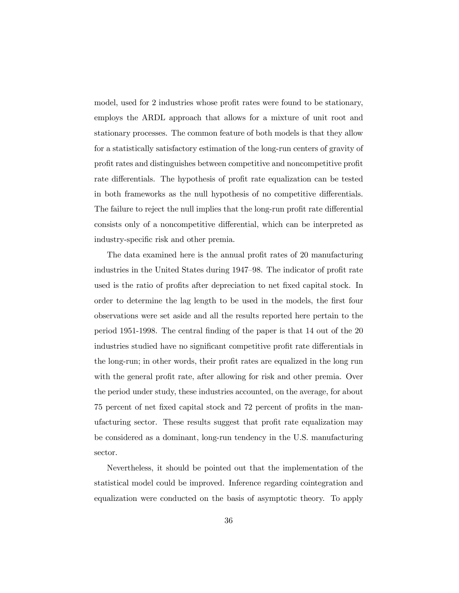model, used for 2 industries whose profit rates were found to be stationary, employs the ARDL approach that allows for a mixture of unit root and stationary processes. The common feature of both models is that they allow for a statistically satisfactory estimation of the long-run centers of gravity of profit rates and distinguishes between competitive and noncompetitive profit rate differentials. The hypothesis of profit rate equalization can be tested in both frameworks as the null hypothesis of no competitive differentials. The failure to reject the null implies that the long-run profit rate differential consists only of a noncompetitive differential, which can be interpreted as industry-specific risk and other premia.

The data examined here is the annual profit rates of 20 manufacturing industries in the United States during 1947–98. The indicator of profit rate used is the ratio of profits after depreciation to net fixed capital stock. In order to determine the lag length to be used in the models, the first four observations were set aside and all the results reported here pertain to the period 1951-1998. The central finding of the paper is that  $14$  out of the  $20$ industries studied have no significant competitive profit rate differentials in the long-run; in other words, their profit rates are equalized in the long run with the general profit rate, after allowing for risk and other premia. Over the period under study, these industries accounted, on the average, for about 75 percent of net fixed capital stock and 72 percent of profits in the manufacturing sector. These results suggest that profit rate equalization may be considered as a dominant, long-run tendency in the U.S. manufacturing sector.

Nevertheless, it should be pointed out that the implementation of the statistical model could be improved. Inference regarding cointegration and equalization were conducted on the basis of asymptotic theory. To apply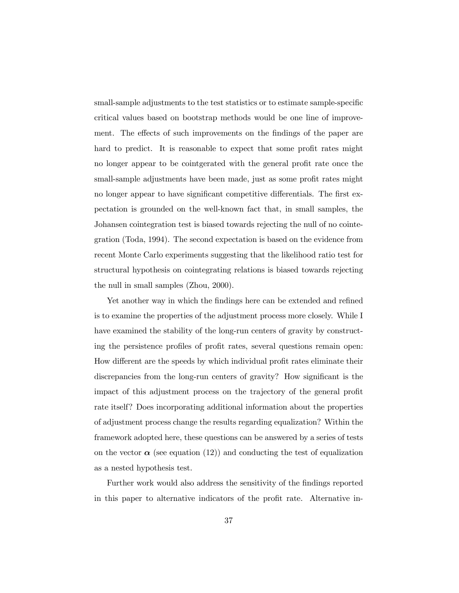small-sample adjustments to the test statistics or to estimate sample-specific critical values based on bootstrap methods would be one line of improvement. The effects of such improvements on the findings of the paper are hard to predict. It is reasonable to expect that some profit rates might no longer appear to be cointgerated with the general profit rate once the small-sample adjustments have been made, just as some profit rates might no longer appear to have significant competitive differentials. The first expectation is grounded on the well-known fact that, in small samples, the Johansen cointegration test is biased towards rejecting the null of no cointegration (Toda, 1994). The second expectation is based on the evidence from recent Monte Carlo experiments suggesting that the likelihood ratio test for structural hypothesis on cointegrating relations is biased towards rejecting the null in small samples (Zhou, 2000).

Yet another way in which the findings here can be extended and refined is to examine the properties of the adjustment process more closely. While I have examined the stability of the long-run centers of gravity by constructing the persistence profiles of profit rates, several questions remain open: How different are the speeds by which individual profit rates eliminate their discrepancies from the long-run centers of gravity? How significant is the impact of this adjustment process on the trajectory of the general profit rate itself? Does incorporating additional information about the properties of adjustment process change the results regarding equalization? Within the framework adopted here, these questions can be answered by a series of tests on the vector  $\alpha$  (see equation (12)) and conducting the test of equalization as a nested hypothesis test.

Further work would also address the sensitivity of the findings reported in this paper to alternative indicators of the profit rate. Alternative in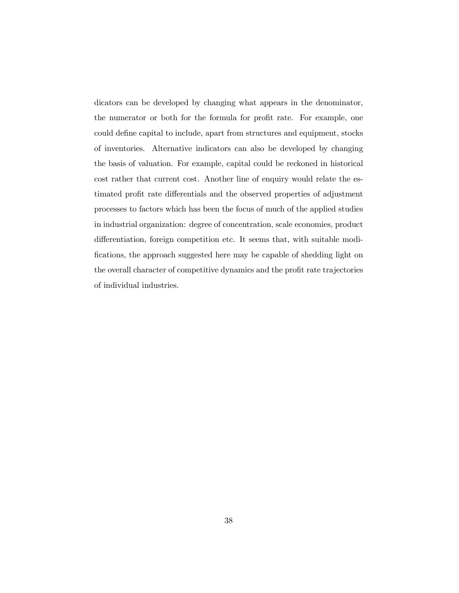dicators can be developed by changing what appears in the denominator, the numerator or both for the formula for profit rate. For example, one could define capital to include, apart from structures and equipment, stocks of inventories. Alternative indicators can also be developed by changing the basis of valuation. For example, capital could be reckoned in historical cost rather that current cost. Another line of enquiry would relate the estimated profit rate differentials and the observed properties of adjustment processes to factors which has been the focus of much of the applied studies in industrial organization: degree of concentration, scale economies, product differentiation, foreign competition etc. It seems that, with suitable modifications, the approach suggested here may be capable of shedding light on the overall character of competitive dynamics and the profit rate trajectories of individual industries.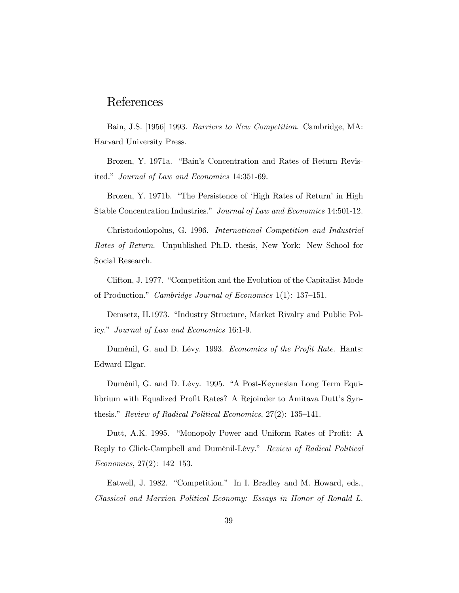## References

Bain, J.S. [1956] 1993. Barriers to New Competition. Cambridge, MA: Harvard University Press.

Brozen, Y. 1971a. "Bain's Concentration and Rates of Return Revisited." Journal of Law and Economics 14:351-69.

Brozen, Y. 1971b. "The Persistence of 'High Rates of Return' in High Stable Concentration Industries." Journal of Law and Economics 14:501-12.

Christodoulopolus, G. 1996. International Competition and Industrial Rates of Return. Unpublished Ph.D. thesis, New York: New School for Social Research.

Clifton, J. 1977. "Competition and the Evolution of the Capitalist Mode of Production." Cambridge Journal of Economics 1(1): 137–151.

Demsetz, H.1973. "Industry Structure, Market Rivalry and Public Policy." Journal of Law and Economics 16:1-9.

Duménil, G. and D. Lévy. 1993. Economics of the Profit Rate. Hants: Edward Elgar.

Duménil, G. and D. Lévy. 1995. "A Post-Keynesian Long Term Equilibrium with Equalized Profit Rates? A Rejoinder to Amitava Dutt's Synthesis." Review of Radical Political Economics, 27(2): 135–141.

Dutt, A.K. 1995. "Monopoly Power and Uniform Rates of Profit: A Reply to Glick-Campbell and Duménil-Lévy." Review of Radical Political Economics, 27(2): 142–153.

Eatwell, J. 1982. "Competition." In I. Bradley and M. Howard, eds., Classical and Marxian Political Economy: Essays in Honor of Ronald L.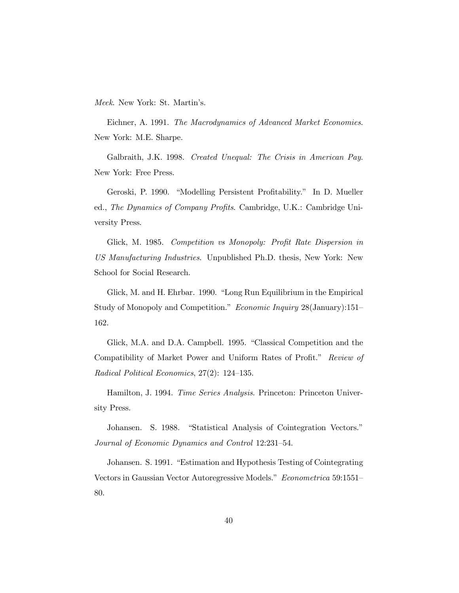Meek. New York: St. Martin's.

Eichner, A. 1991. The Macrodynamics of Advanced Market Economies. New York: M.E. Sharpe.

Galbraith, J.K. 1998. Created Unequal: The Crisis in American Pay. New York: Free Press.

Geroski, P. 1990. "Modelling Persistent Profitability." In D. Mueller ed., The Dynamics of Company Profits. Cambridge, U.K.: Cambridge University Press.

Glick, M. 1985. Competition vs Monopoly: Profit Rate Dispersion in US Manufacturing Industries. Unpublished Ph.D. thesis, New York: New School for Social Research.

Glick, M. and H. Ehrbar. 1990. "Long Run Equilibrium in the Empirical Study of Monopoly and Competition." Economic Inquiry 28(January):151– 162.

Glick, M.A. and D.A. Campbell. 1995. "Classical Competition and the Compatibility of Market Power and Uniform Rates of Profit." Review of Radical Political Economics, 27(2): 124–135.

Hamilton, J. 1994. *Time Series Analysis*. Princeton: Princeton University Press.

Johansen. S. 1988. "Statistical Analysis of Cointegration Vectors." Journal of Economic Dynamics and Control 12:231–54.

Johansen. S. 1991. "Estimation and Hypothesis Testing of Cointegrating Vectors in Gaussian Vector Autoregressive Models." Econometrica 59:1551– 80.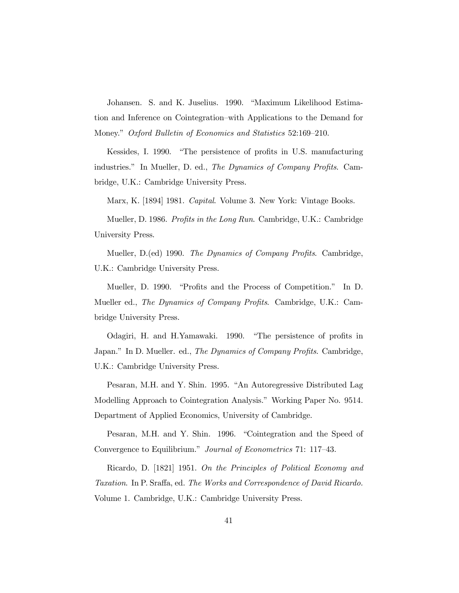Johansen. S. and K. Juselius. 1990. "Maximum Likelihood Estimation and Inference on Cointegration–with Applications to the Demand for Money." Oxford Bulletin of Economics and Statistics 52:169–210.

Kessides, I. 1990. "The persistence of profits in U.S. manufacturing industries." In Mueller, D. ed., The Dynamics of Company Profits. Cambridge, U.K.: Cambridge University Press.

Marx, K. [1894] 1981. Capital. Volume 3. New York: Vintage Books.

Mueller, D. 1986. Profits in the Long Run. Cambridge, U.K.: Cambridge University Press.

Mueller, D.(ed) 1990. The Dynamics of Company Profits. Cambridge, U.K.: Cambridge University Press.

Mueller, D. 1990. "Profits and the Process of Competition." In D. Mueller ed., *The Dynamics of Company Profits.* Cambridge, U.K.: Cambridge University Press.

Odagiri, H. and H.Yamawaki. 1990. "The persistence of profits in Japan." In D. Mueller. ed., The Dynamics of Company Profits. Cambridge, U.K.: Cambridge University Press.

Pesaran, M.H. and Y. Shin. 1995. "An Autoregressive Distributed Lag Modelling Approach to Cointegration Analysis." Working Paper No. 9514. Department of Applied Economics, University of Cambridge.

Pesaran, M.H. and Y. Shin. 1996. "Cointegration and the Speed of Convergence to Equilibrium." Journal of Econometrics 71: 117–43.

Ricardo, D. [1821] 1951. On the Principles of Political Economy and Taxation. In P. Sraffa, ed. The Works and Correspondence of David Ricardo. Volume 1. Cambridge, U.K.: Cambridge University Press.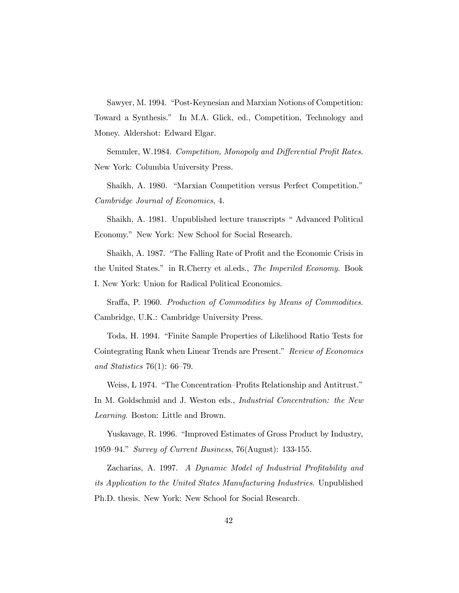Sawyer, M. 1994. "Post-Keynesian and Marxian Notions of Competition: Toward a Synthesis." In M.A. Glick, ed., Competition, Technology and Money. Aldershot: Edward Elgar.

Semmler, W.1984. Competition, Monopoly and Differential Profit Rates. New York: Columbia University Press.

Shaikh, A. 1980. "Marxian Competition versus Perfect Competition." Cambridge Journal of Economics, 4.

Shaikh, A. 1981. Unpublished lecture transcripts " Advanced Political Economy." New York: New School for Social Research.

Shaikh, A. 1987. "The Falling Rate of Profit and the Economic Crisis in the United States." in R.Cherry et al.eds., The Imperiled Economy. Book I. New York: Union for Radical Political Economics.

Sraffa, P. 1960. Production of Commodities by Means of Commodities. Cambridge, U.K.: Cambridge University Press.

Toda, H. 1994. "Finite Sample Properties of Likelihood Ratio Tests for Cointegrating Rank when Linear Trends are Present." Review of Economics and Statistics 76(1): 66–79.

Weiss, L 1974. "The Concentration–Profits Relationship and Antitrust." In M. Goldschmid and J. Weston eds., *Industrial Concentration: the New* Learning. Boston: Little and Brown.

Yuskavage, R. 1996. "Improved Estimates of Gross Product by Industry, 1959–94." Survey of Current Business, 76(August): 133-155.

Zacharias, A. 1997. A Dynamic Model of Industrial Profitability and its Application to the United States Manufacturing Industries. Unpublished Ph.D. thesis. New York: New School for Social Research.